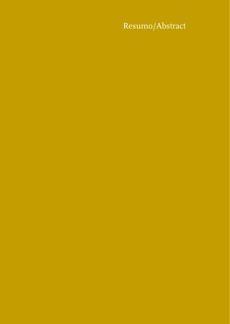Resumo/Abstract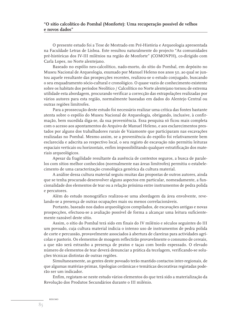## **"O sítio calcolítico do Pombal (Monforte): Uma recuperação possível de velhos e novos dados"**

O presente estudo foi a Tese de Mestrado em Pré-História e Arqueologia apresentada na Faculdade Letras de Lisboa. Este resultou naturalmente do projecto "As comunidades pré-históricas dos IV-III milénios na região de Monforte" (COMONPH), co-dirigido com Carla Lopes, no Norte alentejano.

Baseado no espólio neo-calcolítico, nado-morto, do sítio do Pombal, em depósito no Museu Nacional de Arqueologia, exumado por Manuel Heleno nos anos 50, ao qual se juntou aquele resultante das prospecções recentes, realizou-se o estudo conjugado, buscando o seu enquadramento sócio-cultural e cronológico. O quase vazio de conhecimento existente sobre os habitats dos períodos Neolítico / Calcolítico no Norte alentejano tornou de extrema utilidade esta abordagem, procurando verificar a correcção das extrapolações realizadas por vários autores para esta região, normalmente baseadas em dados do Alentejo Central ou outras regiões limítrofes.

Para a prossecução deste estudo foi necessário realizar uma crítica das fontes bastante atenta sobre o espólio do Museu Nacional de Arqueologia, obrigando, inclusive, à confirmação, bem sucedida diga-se, da sua proveniência. Essa pesquisa só ficou mais completa com o acesso aos apontamentos do Arquivo de Manuel Heleno, e aos esclarecimentos prestados por alguns dos trabalhadores rurais de Vaiamonte que participaram nas escavações realizadas no Pombal. Mesmo assim, se a proveniência do espólio foi relativamente bem esclarecida e adscrita ao respectivo local, o seu registo de escavação não permitiu leituras espaciais verticais ou horizontais, enfim impossibilitando qualquer estratificação dos materiais arqueológicos.

Apesar da fragilidade resultante da ausência de contextos seguros, a busca de paralelos com sítios melhor conhecidos (normalmente nas áreas limítrofes) permitiu o estabelecimento de uma caracterização cronológica genérica da cultura material.

A análise dessa cultura material seguiu muitas das propostas de outros autores, ainda que se tenha procurado desenvolver alguns aspectos em particular, nomeadamente, a funcionalidade dos elementos de tear ou a relação próxima entre instrumentos de pedra polida e percutores.

Além do estudo monográfico realizou-se uma abordagem da área envolvente, revelando-se a presença de outras ocupações mais ou menos correlacionáveis.

Portanto, baseado nos dados arqueológicos compilados, de escavações antigas e novas prospecções, efectuou-se a avaliação possível de forma a alcançar uma leitura suficientemente razoável deste sítio.

Assim, o sítio do Pombal terá sido em finais do IV milénio e séculos seguintes do III um povoado, cuja cultura material indicia o intenso uso de instrumentos de pedra polida de corte e percussão, provavelmente associados à abertura de clareiras para actividades agrícolas e pastoris. Os elementos de moagem reflectirão provavelmente o consumo de cereais, a que não será estranho a presença de pratos e taças com bordo espessado. O elevado número de elementos de tear deverá denunciar a prática da tecelagem, verificando-se soluções técnicas distintas de outras regiões.

Simultaneamente, as gentes deste povoado terão mantido contactos inter-regionais, de que algumas matérias-primas, tipologias cerâmicas e temáticas decorativas registadas poderão ser um indicador.

Enfim, registam-se neste estudo vários elementos do que terá sido a materialização da Revolução dos Produtos Secundários durante o III milénio.